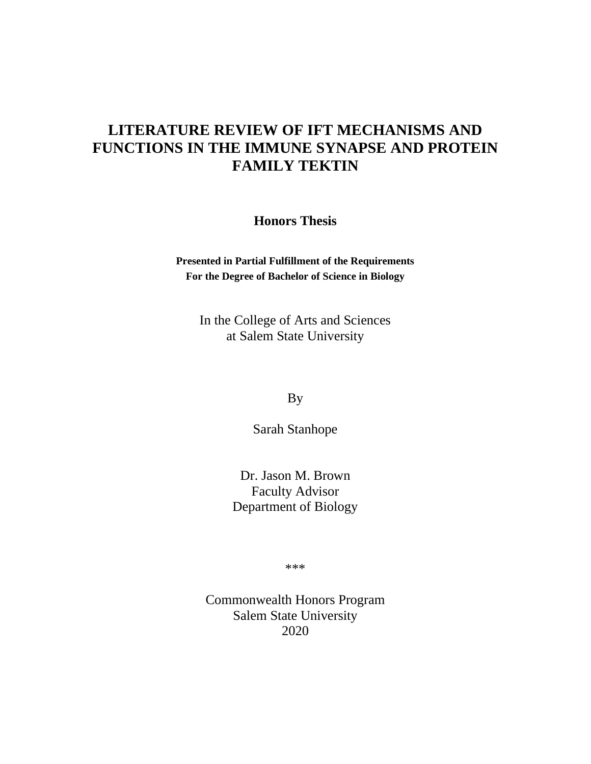# **LITERATURE REVIEW OF IFT MECHANISMS AND FUNCTIONS IN THE IMMUNE SYNAPSE AND PROTEIN FAMILY TEKTIN**

**Honors Thesis**

**Presented in Partial Fulfillment of the Requirements For the Degree of Bachelor of Science in Biology**

In the College of Arts and Sciences at Salem State University

By

Sarah Stanhope

Dr. Jason M. Brown Faculty Advisor Department of Biology

\*\*\*

Commonwealth Honors Program Salem State University 2020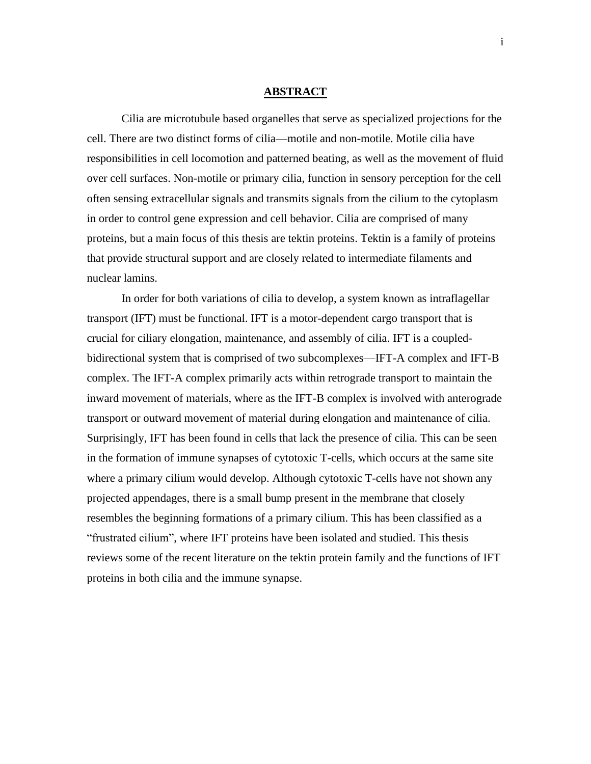#### **ABSTRACT**

Cilia are microtubule based organelles that serve as specialized projections for the cell. There are two distinct forms of cilia—motile and non-motile. Motile cilia have responsibilities in cell locomotion and patterned beating, as well as the movement of fluid over cell surfaces. Non-motile or primary cilia, function in sensory perception for the cell often sensing extracellular signals and transmits signals from the cilium to the cytoplasm in order to control gene expression and cell behavior. Cilia are comprised of many proteins, but a main focus of this thesis are tektin proteins. Tektin is a family of proteins that provide structural support and are closely related to intermediate filaments and nuclear lamins.

In order for both variations of cilia to develop, a system known as intraflagellar transport (IFT) must be functional. IFT is a motor-dependent cargo transport that is crucial for ciliary elongation, maintenance, and assembly of cilia. IFT is a coupledbidirectional system that is comprised of two subcomplexes—IFT-A complex and IFT-B complex. The IFT-A complex primarily acts within retrograde transport to maintain the inward movement of materials, where as the IFT-B complex is involved with anterograde transport or outward movement of material during elongation and maintenance of cilia. Surprisingly, IFT has been found in cells that lack the presence of cilia. This can be seen in the formation of immune synapses of cytotoxic T-cells, which occurs at the same site where a primary cilium would develop. Although cytotoxic T-cells have not shown any projected appendages, there is a small bump present in the membrane that closely resembles the beginning formations of a primary cilium. This has been classified as a "frustrated cilium", where IFT proteins have been isolated and studied. This thesis reviews some of the recent literature on the tektin protein family and the functions of IFT proteins in both cilia and the immune synapse.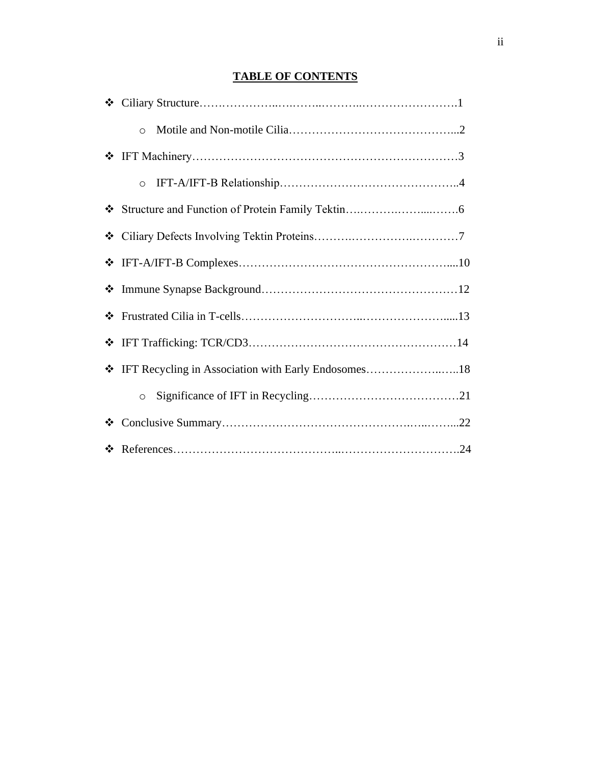# **TABLE OF CONTENTS**

|   | $\circ$                                              |  |
|---|------------------------------------------------------|--|
|   |                                                      |  |
|   | $\circ$                                              |  |
|   |                                                      |  |
| ❖ |                                                      |  |
|   |                                                      |  |
|   |                                                      |  |
|   |                                                      |  |
|   |                                                      |  |
|   | THET Recycling in Association with Early Endosomes18 |  |
|   | $\circ$                                              |  |
| ❖ |                                                      |  |
|   |                                                      |  |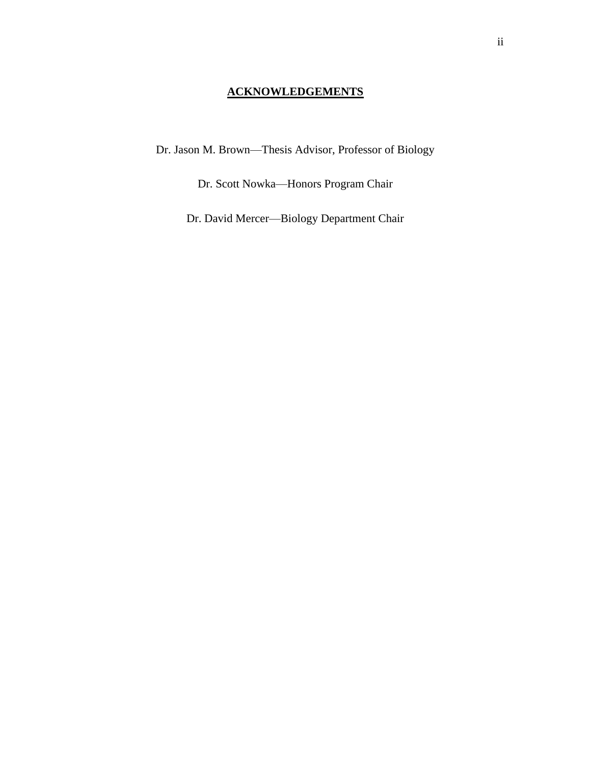# **ACKNOWLEDGEMENTS**

Dr. Jason M. Brown—Thesis Advisor, Professor of Biology

Dr. Scott Nowka—Honors Program Chair

Dr. David Mercer—Biology Department Chair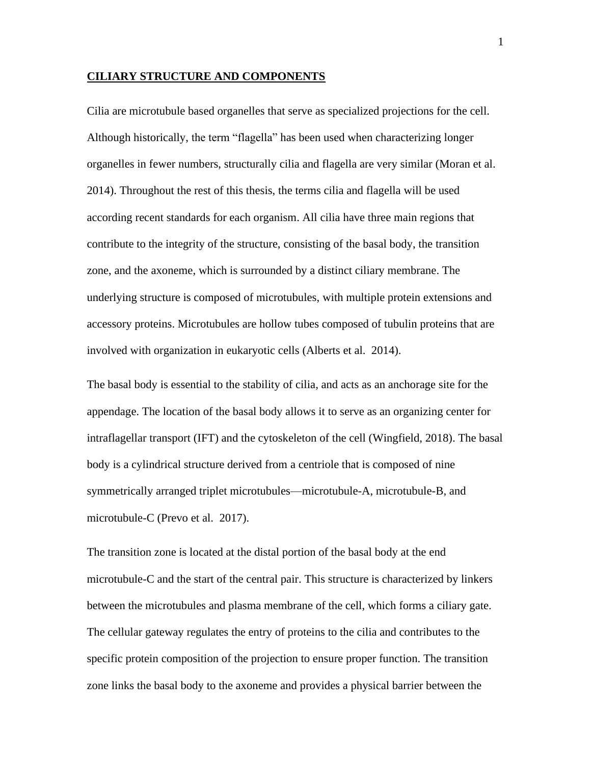#### **CILIARY STRUCTURE AND COMPONENTS**

Cilia are microtubule based organelles that serve as specialized projections for the cell. Although historically, the term "flagella" has been used when characterizing longer organelles in fewer numbers, structurally cilia and flagella are very similar (Moran et al. 2014). Throughout the rest of this thesis, the terms cilia and flagella will be used according recent standards for each organism. All cilia have three main regions that contribute to the integrity of the structure, consisting of the basal body, the transition zone, and the axoneme, which is surrounded by a distinct ciliary membrane. The underlying structure is composed of microtubules, with multiple protein extensions and accessory proteins. Microtubules are hollow tubes composed of tubulin proteins that are involved with organization in eukaryotic cells (Alberts et al. 2014).

The basal body is essential to the stability of cilia, and acts as an anchorage site for the appendage. The location of the basal body allows it to serve as an organizing center for intraflagellar transport (IFT) and the cytoskeleton of the cell (Wingfield, 2018). The basal body is a cylindrical structure derived from a centriole that is composed of nine symmetrically arranged triplet microtubules—microtubule-A, microtubule-B, and microtubule-C (Prevo et al. 2017).

The transition zone is located at the distal portion of the basal body at the end microtubule-C and the start of the central pair. This structure is characterized by linkers between the microtubules and plasma membrane of the cell, which forms a ciliary gate. The cellular gateway regulates the entry of proteins to the cilia and contributes to the specific protein composition of the projection to ensure proper function. The transition zone links the basal body to the axoneme and provides a physical barrier between the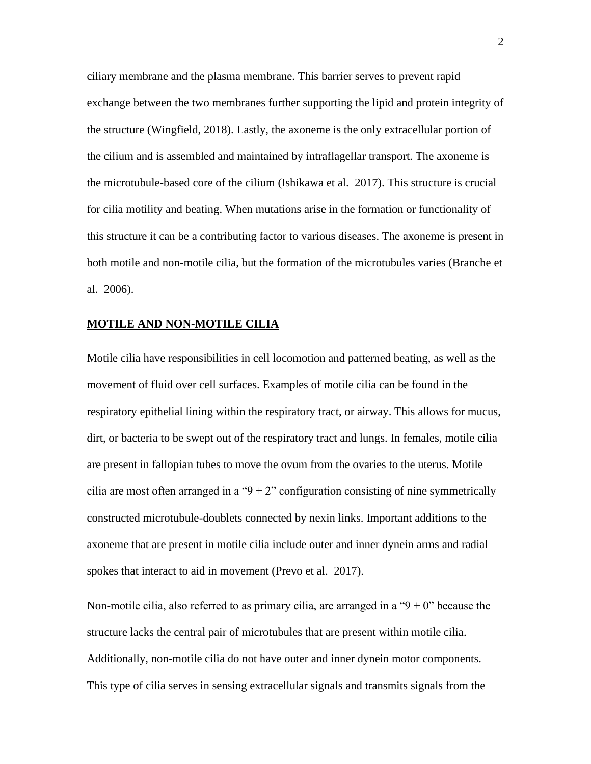ciliary membrane and the plasma membrane. This barrier serves to prevent rapid exchange between the two membranes further supporting the lipid and protein integrity of the structure (Wingfield, 2018). Lastly, the axoneme is the only extracellular portion of the cilium and is assembled and maintained by intraflagellar transport. The axoneme is the microtubule-based core of the cilium (Ishikawa et al. 2017). This structure is crucial for cilia motility and beating. When mutations arise in the formation or functionality of this structure it can be a contributing factor to various diseases. The axoneme is present in both motile and non-motile cilia, but the formation of the microtubules varies (Branche et al. 2006).

## **MOTILE AND NON-MOTILE CILIA**

Motile cilia have responsibilities in cell locomotion and patterned beating, as well as the movement of fluid over cell surfaces. Examples of motile cilia can be found in the respiratory epithelial lining within the respiratory tract, or airway. This allows for mucus, dirt, or bacteria to be swept out of the respiratory tract and lungs. In females, motile cilia are present in fallopian tubes to move the ovum from the ovaries to the uterus. Motile cilia are most often arranged in a " $9 + 2$ " configuration consisting of nine symmetrically constructed microtubule-doublets connected by nexin links. Important additions to the axoneme that are present in motile cilia include outer and inner dynein arms and radial spokes that interact to aid in movement (Prevo et al. 2017).

Non-motile cilia, also referred to as primary cilia, are arranged in a " $9 + 0$ " because the structure lacks the central pair of microtubules that are present within motile cilia. Additionally, non-motile cilia do not have outer and inner dynein motor components. This type of cilia serves in sensing extracellular signals and transmits signals from the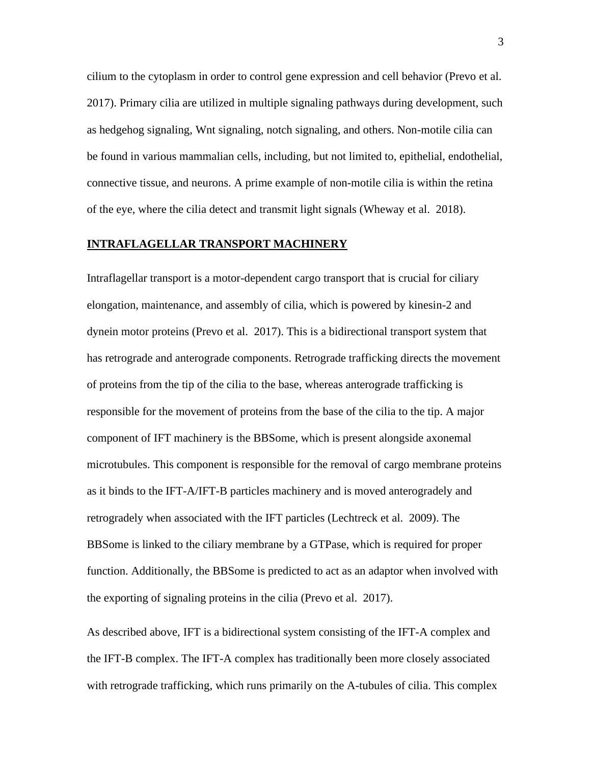cilium to the cytoplasm in order to control gene expression and cell behavior (Prevo et al. 2017). Primary cilia are utilized in multiple signaling pathways during development, such as hedgehog signaling, Wnt signaling, notch signaling, and others. Non-motile cilia can be found in various mammalian cells, including, but not limited to, epithelial, endothelial, connective tissue, and neurons. A prime example of non-motile cilia is within the retina of the eye, where the cilia detect and transmit light signals (Wheway et al. 2018).

# **INTRAFLAGELLAR TRANSPORT MACHINERY**

Intraflagellar transport is a motor-dependent cargo transport that is crucial for ciliary elongation, maintenance, and assembly of cilia, which is powered by kinesin-2 and dynein motor proteins (Prevo et al. 2017). This is a bidirectional transport system that has retrograde and anterograde components. Retrograde trafficking directs the movement of proteins from the tip of the cilia to the base, whereas anterograde trafficking is responsible for the movement of proteins from the base of the cilia to the tip. A major component of IFT machinery is the BBSome, which is present alongside axonemal microtubules. This component is responsible for the removal of cargo membrane proteins as it binds to the IFT-A/IFT-B particles machinery and is moved anterogradely and retrogradely when associated with the IFT particles (Lechtreck et al. 2009). The BBSome is linked to the ciliary membrane by a GTPase, which is required for proper function. Additionally, the BBSome is predicted to act as an adaptor when involved with the exporting of signaling proteins in the cilia (Prevo et al. 2017).

As described above, IFT is a bidirectional system consisting of the IFT-A complex and the IFT-B complex. The IFT-A complex has traditionally been more closely associated with retrograde trafficking, which runs primarily on the A-tubules of cilia. This complex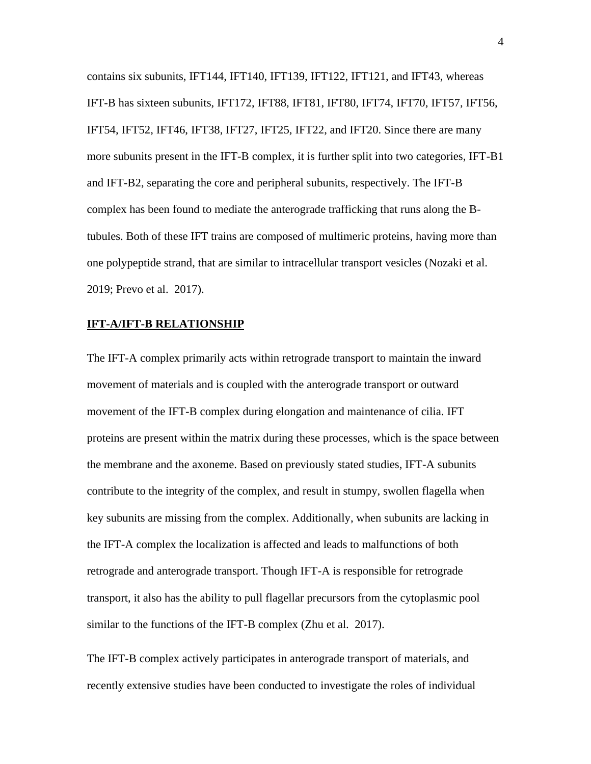contains six subunits, IFT144, IFT140, IFT139, IFT122, IFT121, and IFT43, whereas IFT-B has sixteen subunits, IFT172, IFT88, IFT81, IFT80, IFT74, IFT70, IFT57, IFT56, IFT54, IFT52, IFT46, IFT38, IFT27, IFT25, IFT22, and IFT20. Since there are many more subunits present in the IFT-B complex, it is further split into two categories, IFT-B1 and IFT-B2, separating the core and peripheral subunits, respectively. The IFT-B complex has been found to mediate the anterograde trafficking that runs along the Btubules. Both of these IFT trains are composed of multimeric proteins, having more than one polypeptide strand, that are similar to intracellular transport vesicles (Nozaki et al. 2019; Prevo et al. 2017).

### **IFT-A/IFT-B RELATIONSHIP**

The IFT-A complex primarily acts within retrograde transport to maintain the inward movement of materials and is coupled with the anterograde transport or outward movement of the IFT-B complex during elongation and maintenance of cilia. IFT proteins are present within the matrix during these processes, which is the space between the membrane and the axoneme. Based on previously stated studies, IFT-A subunits contribute to the integrity of the complex, and result in stumpy, swollen flagella when key subunits are missing from the complex. Additionally, when subunits are lacking in the IFT-A complex the localization is affected and leads to malfunctions of both retrograde and anterograde transport. Though IFT-A is responsible for retrograde transport, it also has the ability to pull flagellar precursors from the cytoplasmic pool similar to the functions of the IFT-B complex (Zhu et al. 2017).

The IFT-B complex actively participates in anterograde transport of materials, and recently extensive studies have been conducted to investigate the roles of individual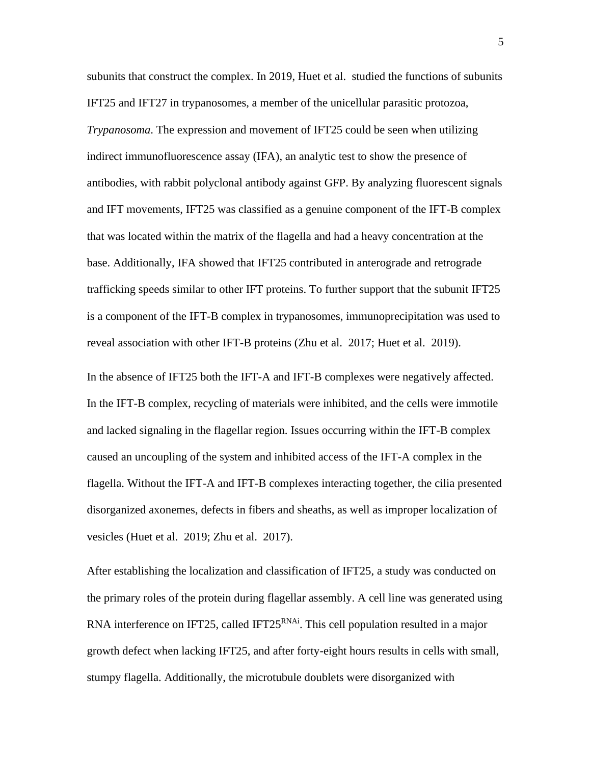subunits that construct the complex. In 2019, Huet et al. studied the functions of subunits IFT25 and IFT27 in trypanosomes, a member of the unicellular parasitic protozoa, *Trypanosoma*. The expression and movement of IFT25 could be seen when utilizing indirect immunofluorescence assay (IFA), an analytic test to show the presence of antibodies, with rabbit polyclonal antibody against GFP. By analyzing fluorescent signals and IFT movements, IFT25 was classified as a genuine component of the IFT-B complex that was located within the matrix of the flagella and had a heavy concentration at the base. Additionally, IFA showed that IFT25 contributed in anterograde and retrograde trafficking speeds similar to other IFT proteins. To further support that the subunit IFT25 is a component of the IFT-B complex in trypanosomes, immunoprecipitation was used to reveal association with other IFT-B proteins (Zhu et al. 2017; Huet et al. 2019).

In the absence of IFT25 both the IFT-A and IFT-B complexes were negatively affected. In the IFT-B complex, recycling of materials were inhibited, and the cells were immotile and lacked signaling in the flagellar region. Issues occurring within the IFT-B complex caused an uncoupling of the system and inhibited access of the IFT-A complex in the flagella. Without the IFT-A and IFT-B complexes interacting together, the cilia presented disorganized axonemes, defects in fibers and sheaths, as well as improper localization of vesicles (Huet et al. 2019; Zhu et al. 2017).

After establishing the localization and classification of IFT25, a study was conducted on the primary roles of the protein during flagellar assembly. A cell line was generated using RNA interference on IFT25, called IFT25<sup>RNAi</sup>. This cell population resulted in a major growth defect when lacking IFT25, and after forty-eight hours results in cells with small, stumpy flagella. Additionally, the microtubule doublets were disorganized with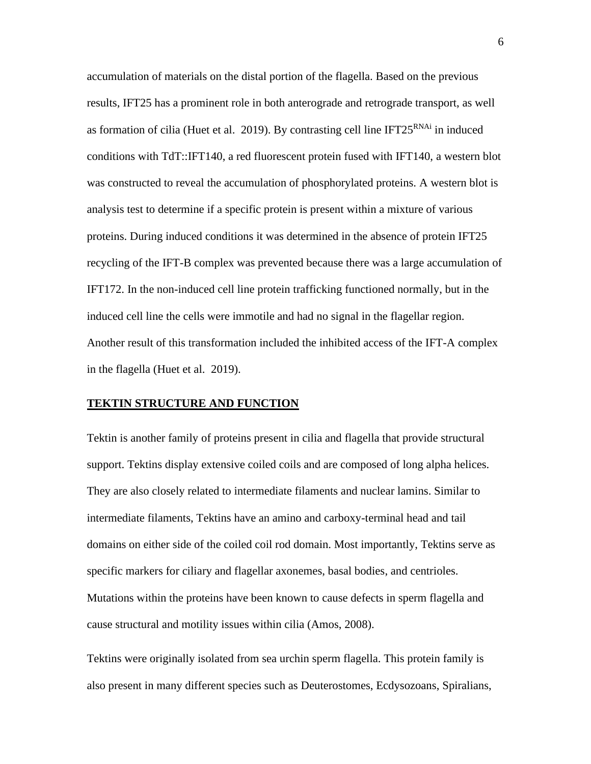accumulation of materials on the distal portion of the flagella. Based on the previous results, IFT25 has a prominent role in both anterograde and retrograde transport, as well as formation of cilia (Huet et al. 2019). By contrasting cell line IFT25<sup>RNAi</sup> in induced conditions with TdT::IFT140, a red fluorescent protein fused with IFT140, a western blot was constructed to reveal the accumulation of phosphorylated proteins. A western blot is analysis test to determine if a specific protein is present within a mixture of various proteins. During induced conditions it was determined in the absence of protein IFT25 recycling of the IFT-B complex was prevented because there was a large accumulation of IFT172. In the non-induced cell line protein trafficking functioned normally, but in the induced cell line the cells were immotile and had no signal in the flagellar region. Another result of this transformation included the inhibited access of the IFT-A complex in the flagella (Huet et al. 2019).

## **TEKTIN STRUCTURE AND FUNCTION**

Tektin is another family of proteins present in cilia and flagella that provide structural support. Tektins display extensive coiled coils and are composed of long alpha helices. They are also closely related to intermediate filaments and nuclear lamins. Similar to intermediate filaments, Tektins have an amino and carboxy-terminal head and tail domains on either side of the coiled coil rod domain. Most importantly, Tektins serve as specific markers for ciliary and flagellar axonemes, basal bodies, and centrioles. Mutations within the proteins have been known to cause defects in sperm flagella and cause structural and motility issues within cilia (Amos, 2008).

Tektins were originally isolated from sea urchin sperm flagella. This protein family is also present in many different species such as Deuterostomes, Ecdysozoans, Spiralians,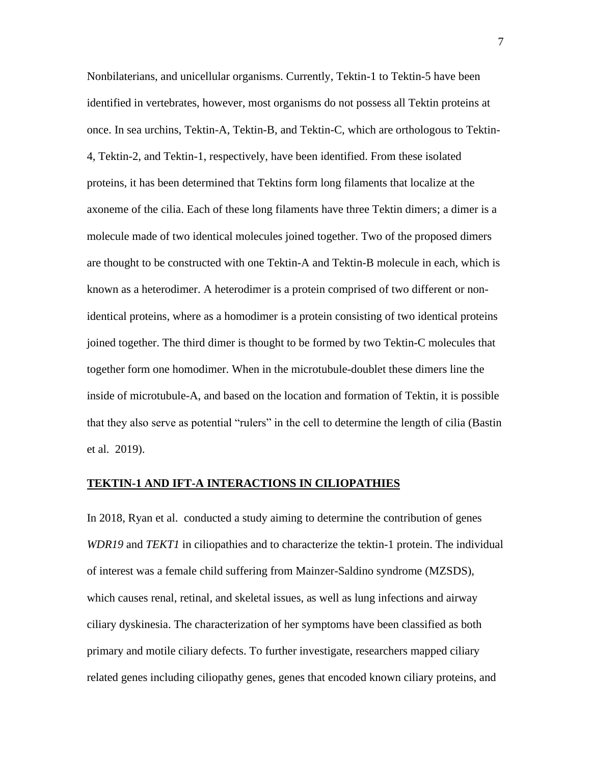Nonbilaterians, and unicellular organisms. Currently, Tektin-1 to Tektin-5 have been identified in vertebrates, however, most organisms do not possess all Tektin proteins at once. In sea urchins, Tektin-A, Tektin-B, and Tektin-C, which are orthologous to Tektin-4, Tektin-2, and Tektin-1, respectively, have been identified. From these isolated proteins, it has been determined that Tektins form long filaments that localize at the axoneme of the cilia. Each of these long filaments have three Tektin dimers; a dimer is a molecule made of two identical molecules joined together. Two of the proposed dimers are thought to be constructed with one Tektin-A and Tektin-B molecule in each, which is known as a heterodimer. A heterodimer is a protein comprised of two different or nonidentical proteins, where as a homodimer is a protein consisting of two identical proteins joined together. The third dimer is thought to be formed by two Tektin-C molecules that together form one homodimer. When in the microtubule-doublet these dimers line the inside of microtubule-A, and based on the location and formation of Tektin, it is possible that they also serve as potential "rulers" in the cell to determine the length of cilia (Bastin et al. 2019).

#### **TEKTIN-1 AND IFT-A INTERACTIONS IN CILIOPATHIES**

In 2018, Ryan et al. conducted a study aiming to determine the contribution of genes *WDR19* and *TEKT1* in ciliopathies and to characterize the tektin-1 protein. The individual of interest was a female child suffering from Mainzer-Saldino syndrome (MZSDS), which causes renal, retinal, and skeletal issues, as well as lung infections and airway ciliary dyskinesia. The characterization of her symptoms have been classified as both primary and motile ciliary defects. To further investigate, researchers mapped ciliary related genes including ciliopathy genes, genes that encoded known ciliary proteins, and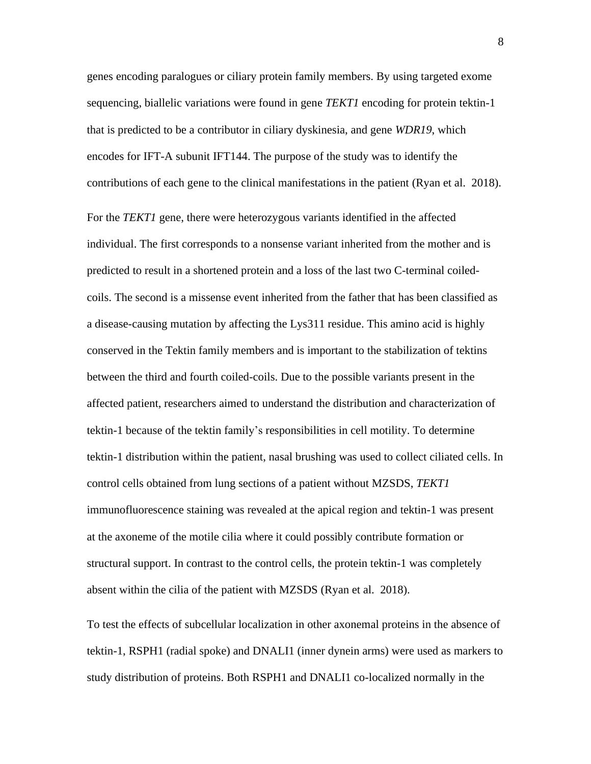genes encoding paralogues or ciliary protein family members. By using targeted exome sequencing, biallelic variations were found in gene *TEKT1* encoding for protein tektin-1 that is predicted to be a contributor in ciliary dyskinesia, and gene *WDR19*, which encodes for IFT-A subunit IFT144. The purpose of the study was to identify the contributions of each gene to the clinical manifestations in the patient (Ryan et al. 2018).

For the *TEKT1* gene, there were heterozygous variants identified in the affected individual. The first corresponds to a nonsense variant inherited from the mother and is predicted to result in a shortened protein and a loss of the last two C-terminal coiledcoils. The second is a missense event inherited from the father that has been classified as a disease-causing mutation by affecting the Lys311 residue. This amino acid is highly conserved in the Tektin family members and is important to the stabilization of tektins between the third and fourth coiled-coils. Due to the possible variants present in the affected patient, researchers aimed to understand the distribution and characterization of tektin-1 because of the tektin family's responsibilities in cell motility. To determine tektin-1 distribution within the patient, nasal brushing was used to collect ciliated cells. In control cells obtained from lung sections of a patient without MZSDS, *TEKT1* immunofluorescence staining was revealed at the apical region and tektin-1 was present at the axoneme of the motile cilia where it could possibly contribute formation or structural support. In contrast to the control cells, the protein tektin-1 was completely absent within the cilia of the patient with MZSDS (Ryan et al. 2018).

To test the effects of subcellular localization in other axonemal proteins in the absence of tektin-1, RSPH1 (radial spoke) and DNALI1 (inner dynein arms) were used as markers to study distribution of proteins. Both RSPH1 and DNALI1 co-localized normally in the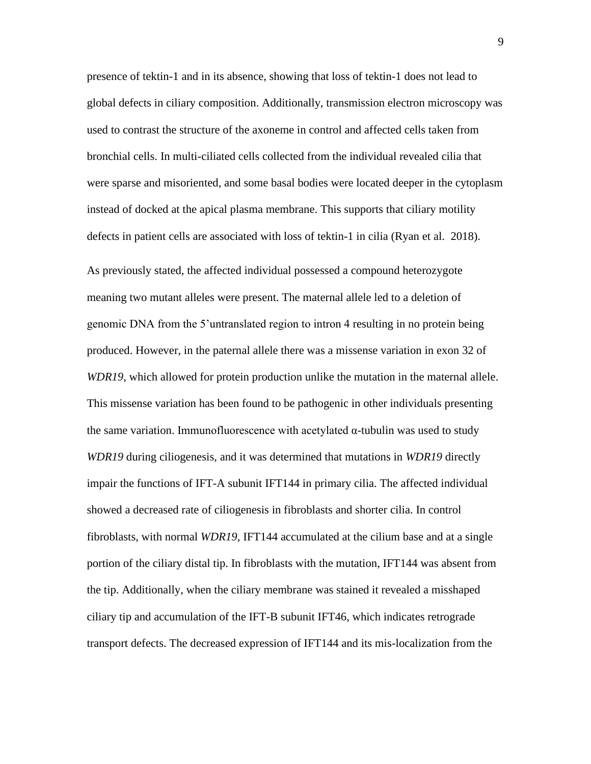presence of tektin-1 and in its absence, showing that loss of tektin-1 does not lead to global defects in ciliary composition. Additionally, transmission electron microscopy was used to contrast the structure of the axoneme in control and affected cells taken from bronchial cells. In multi-ciliated cells collected from the individual revealed cilia that were sparse and misoriented, and some basal bodies were located deeper in the cytoplasm instead of docked at the apical plasma membrane. This supports that ciliary motility defects in patient cells are associated with loss of tektin-1 in cilia (Ryan et al. 2018).

As previously stated, the affected individual possessed a compound heterozygote meaning two mutant alleles were present. The maternal allele led to a deletion of genomic DNA from the 5'untranslated region to intron 4 resulting in no protein being produced. However, in the paternal allele there was a missense variation in exon 32 of *WDR19*, which allowed for protein production unlike the mutation in the maternal allele. This missense variation has been found to be pathogenic in other individuals presenting the same variation. Immunofluorescence with acetylated  $\alpha$ -tubulin was used to study *WDR19* during ciliogenesis, and it was determined that mutations in *WDR19* directly impair the functions of IFT-A subunit IFT144 in primary cilia. The affected individual showed a decreased rate of ciliogenesis in fibroblasts and shorter cilia. In control fibroblasts, with normal *WDR19*, IFT144 accumulated at the cilium base and at a single portion of the ciliary distal tip. In fibroblasts with the mutation, IFT144 was absent from the tip. Additionally, when the ciliary membrane was stained it revealed a misshaped ciliary tip and accumulation of the IFT-B subunit IFT46, which indicates retrograde transport defects. The decreased expression of IFT144 and its mis-localization from the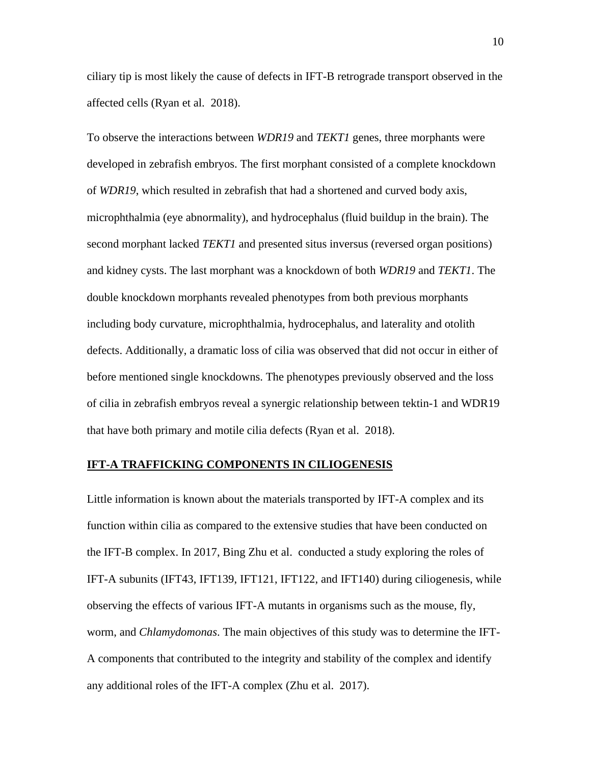ciliary tip is most likely the cause of defects in IFT-B retrograde transport observed in the affected cells (Ryan et al. 2018).

To observe the interactions between *WDR19* and *TEKT1* genes, three morphants were developed in zebrafish embryos. The first morphant consisted of a complete knockdown of *WDR19*, which resulted in zebrafish that had a shortened and curved body axis, microphthalmia (eye abnormality), and hydrocephalus (fluid buildup in the brain). The second morphant lacked *TEKT1* and presented situs inversus (reversed organ positions) and kidney cysts. The last morphant was a knockdown of both *WDR19* and *TEKT1*. The double knockdown morphants revealed phenotypes from both previous morphants including body curvature, microphthalmia, hydrocephalus, and laterality and otolith defects. Additionally, a dramatic loss of cilia was observed that did not occur in either of before mentioned single knockdowns. The phenotypes previously observed and the loss of cilia in zebrafish embryos reveal a synergic relationship between tektin-1 and WDR19 that have both primary and motile cilia defects (Ryan et al. 2018).

## **IFT-A TRAFFICKING COMPONENTS IN CILIOGENESIS**

Little information is known about the materials transported by IFT-A complex and its function within cilia as compared to the extensive studies that have been conducted on the IFT-B complex. In 2017, Bing Zhu et al. conducted a study exploring the roles of IFT-A subunits (IFT43, IFT139, IFT121, IFT122, and IFT140) during ciliogenesis, while observing the effects of various IFT-A mutants in organisms such as the mouse, fly, worm, and *Chlamydomonas*. The main objectives of this study was to determine the IFT-A components that contributed to the integrity and stability of the complex and identify any additional roles of the IFT-A complex (Zhu et al. 2017).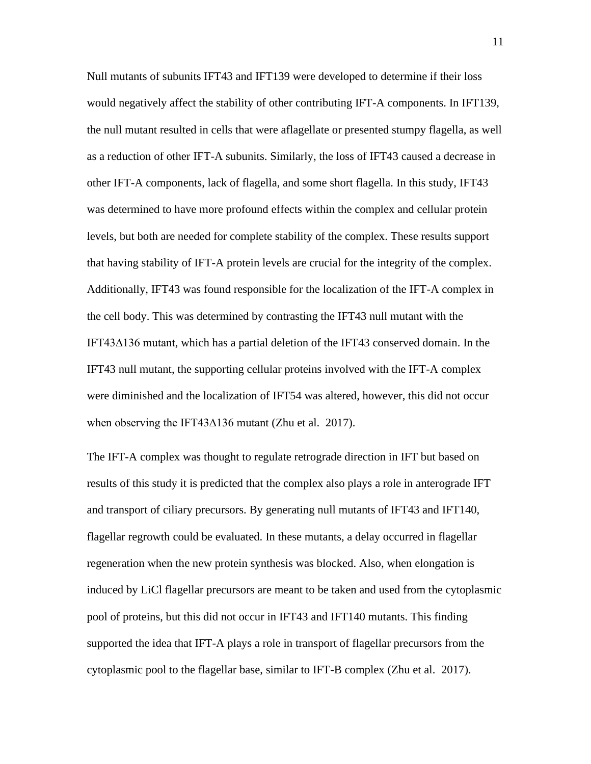Null mutants of subunits IFT43 and IFT139 were developed to determine if their loss would negatively affect the stability of other contributing IFT-A components. In IFT139, the null mutant resulted in cells that were aflagellate or presented stumpy flagella, as well as a reduction of other IFT-A subunits. Similarly, the loss of IFT43 caused a decrease in other IFT-A components, lack of flagella, and some short flagella. In this study, IFT43 was determined to have more profound effects within the complex and cellular protein levels, but both are needed for complete stability of the complex. These results support that having stability of IFT-A protein levels are crucial for the integrity of the complex. Additionally, IFT43 was found responsible for the localization of the IFT-A complex in the cell body. This was determined by contrasting the IFT43 null mutant with the IFT43∆136 mutant, which has a partial deletion of the IFT43 conserved domain. In the IFT43 null mutant, the supporting cellular proteins involved with the IFT-A complex were diminished and the localization of IFT54 was altered, however, this did not occur when observing the IFT43∆136 mutant (Zhu et al. 2017).

The IFT-A complex was thought to regulate retrograde direction in IFT but based on results of this study it is predicted that the complex also plays a role in anterograde IFT and transport of ciliary precursors. By generating null mutants of IFT43 and IFT140, flagellar regrowth could be evaluated. In these mutants, a delay occurred in flagellar regeneration when the new protein synthesis was blocked. Also, when elongation is induced by LiCl flagellar precursors are meant to be taken and used from the cytoplasmic pool of proteins, but this did not occur in IFT43 and IFT140 mutants. This finding supported the idea that IFT-A plays a role in transport of flagellar precursors from the cytoplasmic pool to the flagellar base, similar to IFT-B complex (Zhu et al. 2017).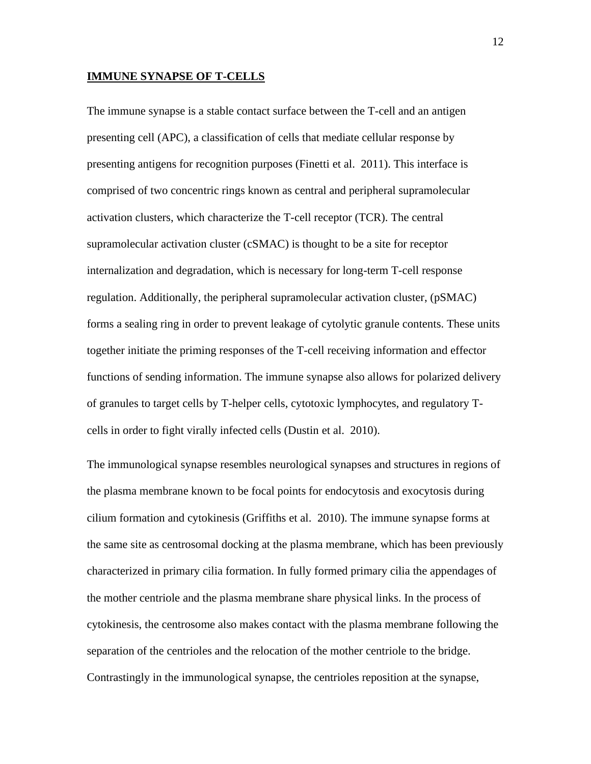#### **IMMUNE SYNAPSE OF T-CELLS**

The immune synapse is a stable contact surface between the T-cell and an antigen presenting cell (APC), a classification of cells that mediate cellular response by presenting antigens for recognition purposes (Finetti et al. 2011). This interface is comprised of two concentric rings known as central and peripheral supramolecular activation clusters, which characterize the T-cell receptor (TCR). The central supramolecular activation cluster (cSMAC) is thought to be a site for receptor internalization and degradation, which is necessary for long-term T-cell response regulation. Additionally, the peripheral supramolecular activation cluster, (pSMAC) forms a sealing ring in order to prevent leakage of cytolytic granule contents. These units together initiate the priming responses of the T-cell receiving information and effector functions of sending information. The immune synapse also allows for polarized delivery of granules to target cells by T-helper cells, cytotoxic lymphocytes, and regulatory Tcells in order to fight virally infected cells (Dustin et al. 2010).

The immunological synapse resembles neurological synapses and structures in regions of the plasma membrane known to be focal points for endocytosis and exocytosis during cilium formation and cytokinesis (Griffiths et al. 2010). The immune synapse forms at the same site as centrosomal docking at the plasma membrane, which has been previously characterized in primary cilia formation. In fully formed primary cilia the appendages of the mother centriole and the plasma membrane share physical links. In the process of cytokinesis, the centrosome also makes contact with the plasma membrane following the separation of the centrioles and the relocation of the mother centriole to the bridge. Contrastingly in the immunological synapse, the centrioles reposition at the synapse,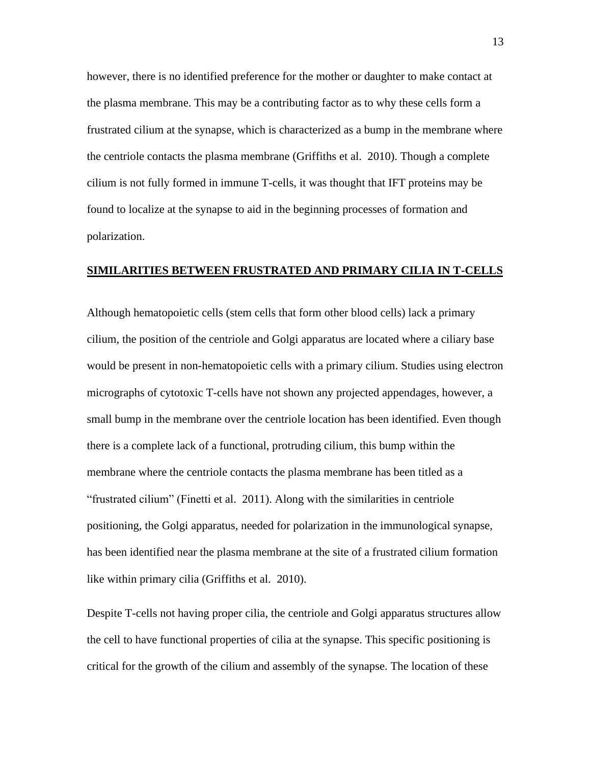however, there is no identified preference for the mother or daughter to make contact at the plasma membrane. This may be a contributing factor as to why these cells form a frustrated cilium at the synapse, which is characterized as a bump in the membrane where the centriole contacts the plasma membrane (Griffiths et al. 2010). Though a complete cilium is not fully formed in immune T-cells, it was thought that IFT proteins may be found to localize at the synapse to aid in the beginning processes of formation and polarization.

# **SIMILARITIES BETWEEN FRUSTRATED AND PRIMARY CILIA IN T-CELLS**

Although hematopoietic cells (stem cells that form other blood cells) lack a primary cilium, the position of the centriole and Golgi apparatus are located where a ciliary base would be present in non-hematopoietic cells with a primary cilium. Studies using electron micrographs of cytotoxic T-cells have not shown any projected appendages, however, a small bump in the membrane over the centriole location has been identified. Even though there is a complete lack of a functional, protruding cilium, this bump within the membrane where the centriole contacts the plasma membrane has been titled as a "frustrated cilium" (Finetti et al. 2011). Along with the similarities in centriole positioning, the Golgi apparatus, needed for polarization in the immunological synapse, has been identified near the plasma membrane at the site of a frustrated cilium formation like within primary cilia (Griffiths et al. 2010).

Despite T-cells not having proper cilia, the centriole and Golgi apparatus structures allow the cell to have functional properties of cilia at the synapse. This specific positioning is critical for the growth of the cilium and assembly of the synapse. The location of these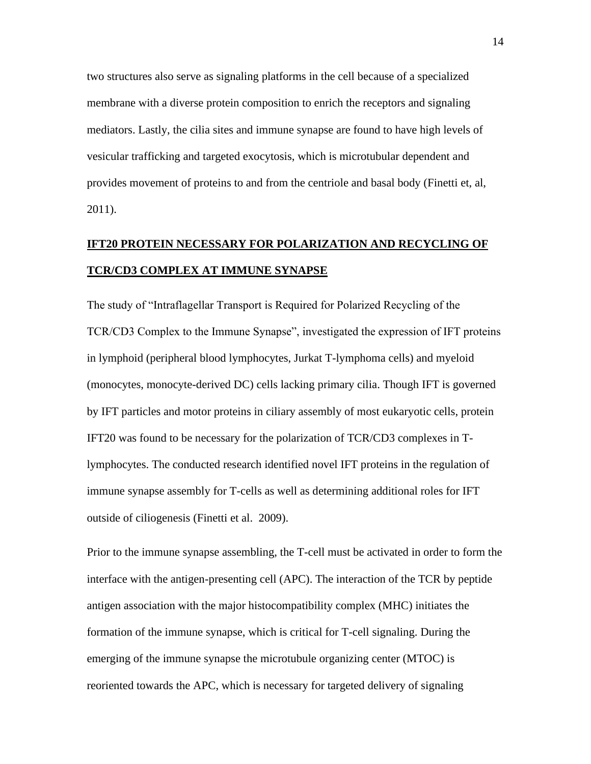two structures also serve as signaling platforms in the cell because of a specialized membrane with a diverse protein composition to enrich the receptors and signaling mediators. Lastly, the cilia sites and immune synapse are found to have high levels of vesicular trafficking and targeted exocytosis, which is microtubular dependent and provides movement of proteins to and from the centriole and basal body (Finetti et, al, 2011).

# **IFT20 PROTEIN NECESSARY FOR POLARIZATION AND RECYCLING OF TCR/CD3 COMPLEX AT IMMUNE SYNAPSE**

The study of "Intraflagellar Transport is Required for Polarized Recycling of the TCR/CD3 Complex to the Immune Synapse", investigated the expression of IFT proteins in lymphoid (peripheral blood lymphocytes, Jurkat T-lymphoma cells) and myeloid (monocytes, monocyte-derived DC) cells lacking primary cilia. Though IFT is governed by IFT particles and motor proteins in ciliary assembly of most eukaryotic cells, protein IFT20 was found to be necessary for the polarization of TCR/CD3 complexes in Tlymphocytes. The conducted research identified novel IFT proteins in the regulation of immune synapse assembly for T-cells as well as determining additional roles for IFT outside of ciliogenesis (Finetti et al. 2009).

Prior to the immune synapse assembling, the T-cell must be activated in order to form the interface with the antigen-presenting cell (APC). The interaction of the TCR by peptide antigen association with the major histocompatibility complex (MHC) initiates the formation of the immune synapse, which is critical for T-cell signaling. During the emerging of the immune synapse the microtubule organizing center (MTOC) is reoriented towards the APC, which is necessary for targeted delivery of signaling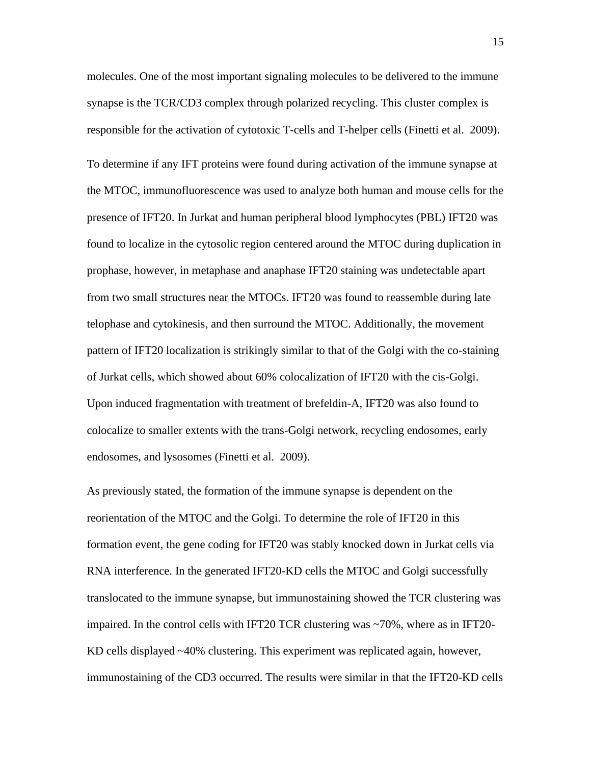molecules. One of the most important signaling molecules to be delivered to the immune synapse is the TCR/CD3 complex through polarized recycling. This cluster complex is responsible for the activation of cytotoxic T-cells and T-helper cells (Finetti et al. 2009). To determine if any IFT proteins were found during activation of the immune synapse at the MTOC, immunofluorescence was used to analyze both human and mouse cells for the presence of IFT20. In Jurkat and human peripheral blood lymphocytes (PBL) IFT20 was found to localize in the cytosolic region centered around the MTOC during duplication in prophase, however, in metaphase and anaphase IFT20 staining was undetectable apart from two small structures near the MTOCs. IFT20 was found to reassemble during late telophase and cytokinesis, and then surround the MTOC. Additionally, the movement pattern of IFT20 localization is strikingly similar to that of the Golgi with the co-staining of Jurkat cells, which showed about 60% colocalization of IFT20 with the cis-Golgi. Upon induced fragmentation with treatment of brefeldin-A, IFT20 was also found to colocalize to smaller extents with the trans-Golgi network, recycling endosomes, early endosomes, and lysosomes (Finetti et al. 2009).

As previously stated, the formation of the immune synapse is dependent on the reorientation of the MTOC and the Golgi. To determine the role of IFT20 in this formation event, the gene coding for IFT20 was stably knocked down in Jurkat cells via RNA interference. In the generated IFT20-KD cells the MTOC and Golgi successfully translocated to the immune synapse, but immunostaining showed the TCR clustering was impaired. In the control cells with IFT20 TCR clustering was ~70%, where as in IFT20- KD cells displayed ~40% clustering. This experiment was replicated again, however, immunostaining of the CD3 occurred. The results were similar in that the IFT20-KD cells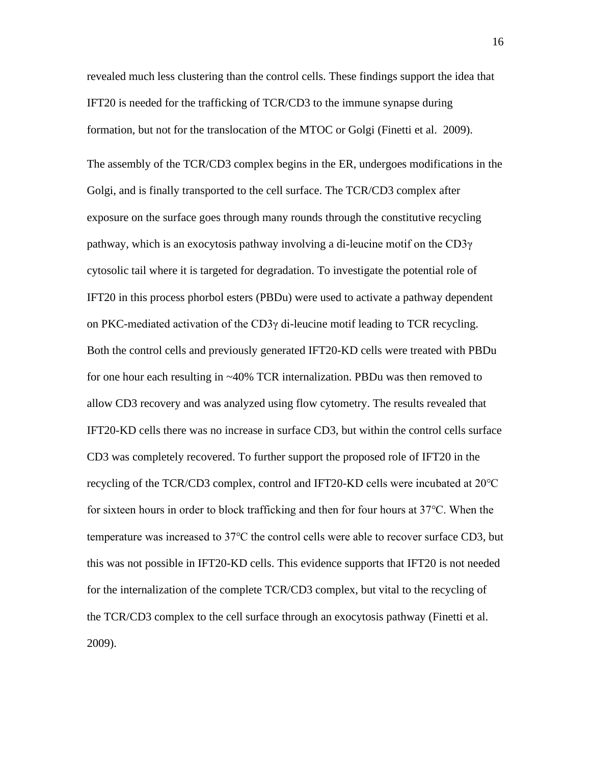revealed much less clustering than the control cells. These findings support the idea that IFT20 is needed for the trafficking of TCR/CD3 to the immune synapse during formation, but not for the translocation of the MTOC or Golgi (Finetti et al. 2009).

The assembly of the TCR/CD3 complex begins in the ER, undergoes modifications in the Golgi, and is finally transported to the cell surface. The TCR/CD3 complex after exposure on the surface goes through many rounds through the constitutive recycling pathway, which is an exocytosis pathway involving a di-leucine motif on the CD3γ cytosolic tail where it is targeted for degradation. To investigate the potential role of IFT20 in this process phorbol esters (PBDu) were used to activate a pathway dependent on PKC-mediated activation of the CD3 $\gamma$  di-leucine motif leading to TCR recycling. Both the control cells and previously generated IFT20-KD cells were treated with PBDu for one hour each resulting in ~40% TCR internalization. PBDu was then removed to allow CD3 recovery and was analyzed using flow cytometry. The results revealed that IFT20-KD cells there was no increase in surface CD3, but within the control cells surface CD3 was completely recovered. To further support the proposed role of IFT20 in the recycling of the TCR/CD3 complex, control and IFT20-KD cells were incubated at 20℃ for sixteen hours in order to block trafficking and then for four hours at 37℃. When the temperature was increased to 37℃ the control cells were able to recover surface CD3, but this was not possible in IFT20-KD cells. This evidence supports that IFT20 is not needed for the internalization of the complete TCR/CD3 complex, but vital to the recycling of the TCR/CD3 complex to the cell surface through an exocytosis pathway (Finetti et al. 2009).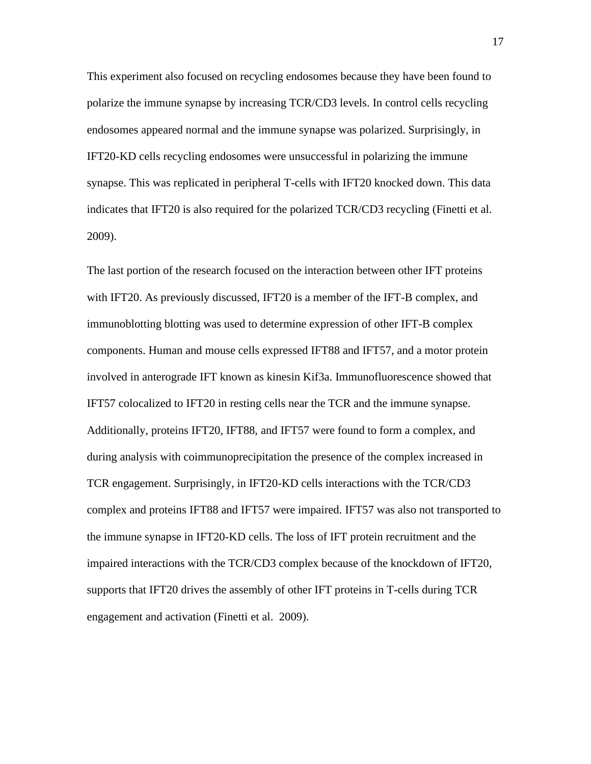This experiment also focused on recycling endosomes because they have been found to polarize the immune synapse by increasing TCR/CD3 levels. In control cells recycling endosomes appeared normal and the immune synapse was polarized. Surprisingly, in IFT20-KD cells recycling endosomes were unsuccessful in polarizing the immune synapse. This was replicated in peripheral T-cells with IFT20 knocked down. This data indicates that IFT20 is also required for the polarized TCR/CD3 recycling (Finetti et al. 2009).

The last portion of the research focused on the interaction between other IFT proteins with IFT20. As previously discussed, IFT20 is a member of the IFT-B complex, and immunoblotting blotting was used to determine expression of other IFT-B complex components. Human and mouse cells expressed IFT88 and IFT57, and a motor protein involved in anterograde IFT known as kinesin Kif3a. Immunofluorescence showed that IFT57 colocalized to IFT20 in resting cells near the TCR and the immune synapse. Additionally, proteins IFT20, IFT88, and IFT57 were found to form a complex, and during analysis with coimmunoprecipitation the presence of the complex increased in TCR engagement. Surprisingly, in IFT20-KD cells interactions with the TCR/CD3 complex and proteins IFT88 and IFT57 were impaired. IFT57 was also not transported to the immune synapse in IFT20-KD cells. The loss of IFT protein recruitment and the impaired interactions with the TCR/CD3 complex because of the knockdown of IFT20, supports that IFT20 drives the assembly of other IFT proteins in T-cells during TCR engagement and activation (Finetti et al. 2009).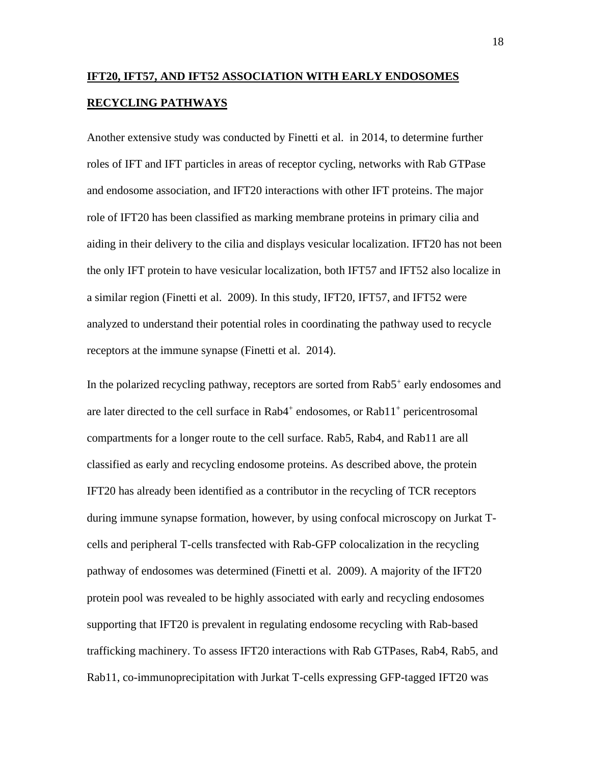# **IFT20, IFT57, AND IFT52 ASSOCIATION WITH EARLY ENDOSOMES RECYCLING PATHWAYS**

Another extensive study was conducted by Finetti et al. in 2014, to determine further roles of IFT and IFT particles in areas of receptor cycling, networks with Rab GTPase and endosome association, and IFT20 interactions with other IFT proteins. The major role of IFT20 has been classified as marking membrane proteins in primary cilia and aiding in their delivery to the cilia and displays vesicular localization. IFT20 has not been the only IFT protein to have vesicular localization, both IFT57 and IFT52 also localize in a similar region (Finetti et al. 2009). In this study, IFT20, IFT57, and IFT52 were analyzed to understand their potential roles in coordinating the pathway used to recycle receptors at the immune synapse (Finetti et al. 2014).

In the polarized recycling pathway, receptors are sorted from Rab5<sup>+</sup> early endosomes and are later directed to the cell surface in  $Rab4^+$  endosomes, or  $Rab11^+$  pericentrosomal compartments for a longer route to the cell surface. Rab5, Rab4, and Rab11 are all classified as early and recycling endosome proteins. As described above, the protein IFT20 has already been identified as a contributor in the recycling of TCR receptors during immune synapse formation, however, by using confocal microscopy on Jurkat Tcells and peripheral T-cells transfected with Rab-GFP colocalization in the recycling pathway of endosomes was determined (Finetti et al. 2009). A majority of the IFT20 protein pool was revealed to be highly associated with early and recycling endosomes supporting that IFT20 is prevalent in regulating endosome recycling with Rab-based trafficking machinery. To assess IFT20 interactions with Rab GTPases, Rab4, Rab5, and Rab11, co-immunoprecipitation with Jurkat T-cells expressing GFP-tagged IFT20 was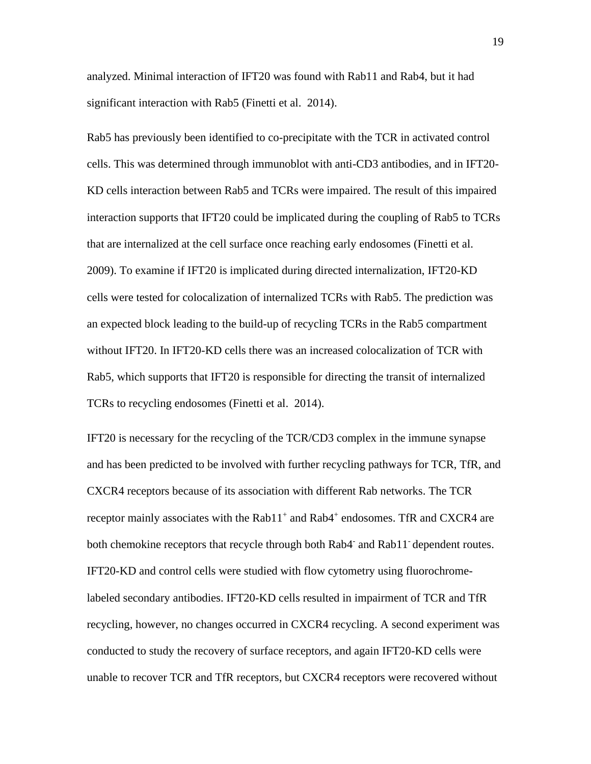analyzed. Minimal interaction of IFT20 was found with Rab11 and Rab4, but it had significant interaction with Rab5 (Finetti et al. 2014).

Rab5 has previously been identified to co-precipitate with the TCR in activated control cells. This was determined through immunoblot with anti-CD3 antibodies, and in IFT20- KD cells interaction between Rab5 and TCRs were impaired. The result of this impaired interaction supports that IFT20 could be implicated during the coupling of Rab5 to TCRs that are internalized at the cell surface once reaching early endosomes (Finetti et al. 2009). To examine if IFT20 is implicated during directed internalization, IFT20-KD cells were tested for colocalization of internalized TCRs with Rab5. The prediction was an expected block leading to the build-up of recycling TCRs in the Rab5 compartment without IFT20. In IFT20-KD cells there was an increased colocalization of TCR with Rab5, which supports that IFT20 is responsible for directing the transit of internalized TCRs to recycling endosomes (Finetti et al. 2014).

IFT20 is necessary for the recycling of the TCR/CD3 complex in the immune synapse and has been predicted to be involved with further recycling pathways for TCR, TfR, and CXCR4 receptors because of its association with different Rab networks. The TCR receptor mainly associates with the Rab11<sup>+</sup> and Rab4<sup>+</sup> endosomes. TfR and CXCR4 are both chemokine receptors that recycle through both Rab4<sup>-</sup> and Rab11<sup>-</sup> dependent routes. IFT20-KD and control cells were studied with flow cytometry using fluorochromelabeled secondary antibodies. IFT20-KD cells resulted in impairment of TCR and TfR recycling, however, no changes occurred in CXCR4 recycling. A second experiment was conducted to study the recovery of surface receptors, and again IFT20-KD cells were unable to recover TCR and TfR receptors, but CXCR4 receptors were recovered without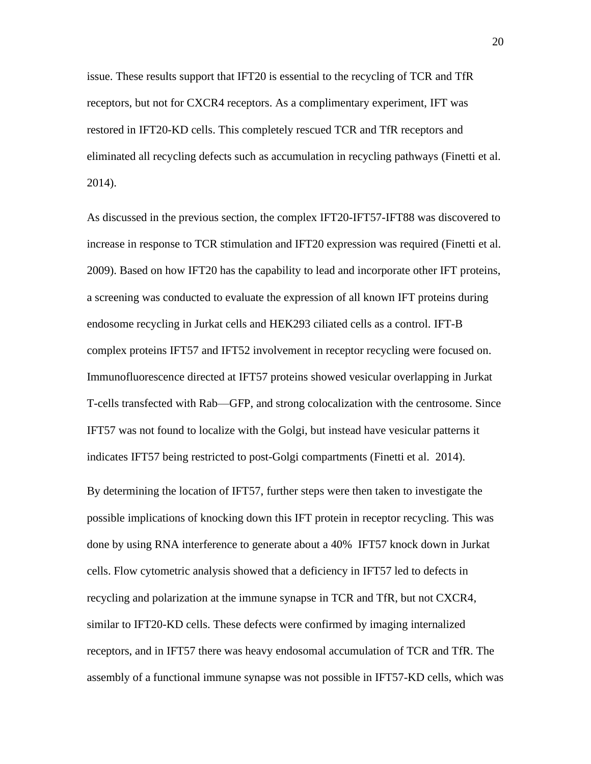issue. These results support that IFT20 is essential to the recycling of TCR and TfR receptors, but not for CXCR4 receptors. As a complimentary experiment, IFT was restored in IFT20-KD cells. This completely rescued TCR and TfR receptors and eliminated all recycling defects such as accumulation in recycling pathways (Finetti et al. 2014).

As discussed in the previous section, the complex IFT20-IFT57-IFT88 was discovered to increase in response to TCR stimulation and IFT20 expression was required (Finetti et al. 2009). Based on how IFT20 has the capability to lead and incorporate other IFT proteins, a screening was conducted to evaluate the expression of all known IFT proteins during endosome recycling in Jurkat cells and HEK293 ciliated cells as a control. IFT-B complex proteins IFT57 and IFT52 involvement in receptor recycling were focused on. Immunofluorescence directed at IFT57 proteins showed vesicular overlapping in Jurkat T-cells transfected with Rab—GFP, and strong colocalization with the centrosome. Since IFT57 was not found to localize with the Golgi, but instead have vesicular patterns it indicates IFT57 being restricted to post-Golgi compartments (Finetti et al. 2014).

By determining the location of IFT57, further steps were then taken to investigate the possible implications of knocking down this IFT protein in receptor recycling. This was done by using RNA interference to generate about a 40% IFT57 knock down in Jurkat cells. Flow cytometric analysis showed that a deficiency in IFT57 led to defects in recycling and polarization at the immune synapse in TCR and TfR, but not CXCR4, similar to IFT20-KD cells. These defects were confirmed by imaging internalized receptors, and in IFT57 there was heavy endosomal accumulation of TCR and TfR. The assembly of a functional immune synapse was not possible in IFT57-KD cells, which was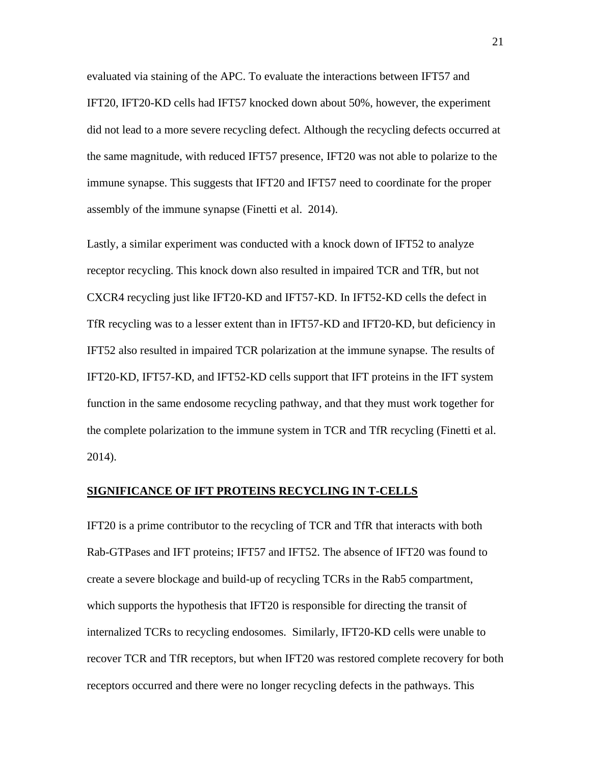evaluated via staining of the APC. To evaluate the interactions between IFT57 and IFT20, IFT20-KD cells had IFT57 knocked down about 50%, however, the experiment did not lead to a more severe recycling defect. Although the recycling defects occurred at the same magnitude, with reduced IFT57 presence, IFT20 was not able to polarize to the immune synapse. This suggests that IFT20 and IFT57 need to coordinate for the proper assembly of the immune synapse (Finetti et al. 2014).

Lastly, a similar experiment was conducted with a knock down of IFT52 to analyze receptor recycling. This knock down also resulted in impaired TCR and TfR, but not CXCR4 recycling just like IFT20-KD and IFT57-KD. In IFT52-KD cells the defect in TfR recycling was to a lesser extent than in IFT57-KD and IFT20-KD, but deficiency in IFT52 also resulted in impaired TCR polarization at the immune synapse. The results of IFT20-KD, IFT57-KD, and IFT52-KD cells support that IFT proteins in the IFT system function in the same endosome recycling pathway, and that they must work together for the complete polarization to the immune system in TCR and TfR recycling (Finetti et al. 2014).

#### **SIGNIFICANCE OF IFT PROTEINS RECYCLING IN T-CELLS**

IFT20 is a prime contributor to the recycling of TCR and TfR that interacts with both Rab-GTPases and IFT proteins; IFT57 and IFT52. The absence of IFT20 was found to create a severe blockage and build-up of recycling TCRs in the Rab5 compartment, which supports the hypothesis that IFT20 is responsible for directing the transit of internalized TCRs to recycling endosomes. Similarly, IFT20-KD cells were unable to recover TCR and TfR receptors, but when IFT20 was restored complete recovery for both receptors occurred and there were no longer recycling defects in the pathways. This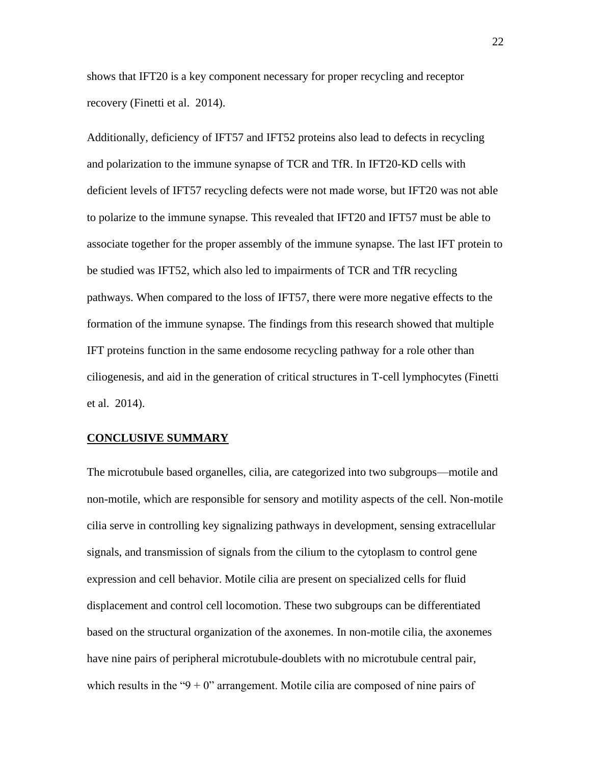shows that IFT20 is a key component necessary for proper recycling and receptor recovery (Finetti et al. 2014).

Additionally, deficiency of IFT57 and IFT52 proteins also lead to defects in recycling and polarization to the immune synapse of TCR and TfR. In IFT20-KD cells with deficient levels of IFT57 recycling defects were not made worse, but IFT20 was not able to polarize to the immune synapse. This revealed that IFT20 and IFT57 must be able to associate together for the proper assembly of the immune synapse. The last IFT protein to be studied was IFT52, which also led to impairments of TCR and TfR recycling pathways. When compared to the loss of IFT57, there were more negative effects to the formation of the immune synapse. The findings from this research showed that multiple IFT proteins function in the same endosome recycling pathway for a role other than ciliogenesis, and aid in the generation of critical structures in T-cell lymphocytes (Finetti et al. 2014).

#### **CONCLUSIVE SUMMARY**

The microtubule based organelles, cilia, are categorized into two subgroups—motile and non-motile, which are responsible for sensory and motility aspects of the cell. Non-motile cilia serve in controlling key signalizing pathways in development, sensing extracellular signals, and transmission of signals from the cilium to the cytoplasm to control gene expression and cell behavior. Motile cilia are present on specialized cells for fluid displacement and control cell locomotion. These two subgroups can be differentiated based on the structural organization of the axonemes. In non-motile cilia, the axonemes have nine pairs of peripheral microtubule-doublets with no microtubule central pair, which results in the " $9 + 0$ " arrangement. Motile cilia are composed of nine pairs of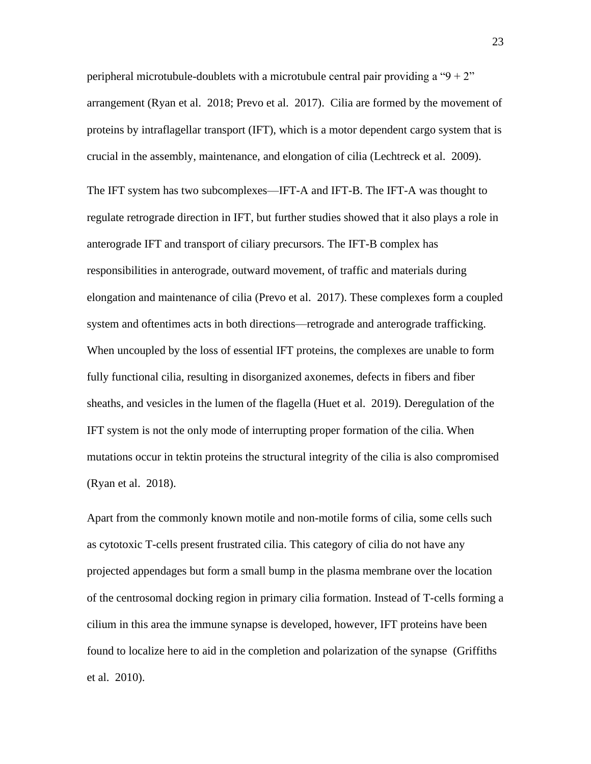peripheral microtubule-doublets with a microtubule central pair providing a " $9 + 2$ " arrangement (Ryan et al. 2018; Prevo et al. 2017). Cilia are formed by the movement of proteins by intraflagellar transport (IFT), which is a motor dependent cargo system that is crucial in the assembly, maintenance, and elongation of cilia (Lechtreck et al. 2009).

The IFT system has two subcomplexes—IFT-A and IFT-B. The IFT-A was thought to regulate retrograde direction in IFT, but further studies showed that it also plays a role in anterograde IFT and transport of ciliary precursors. The IFT-B complex has responsibilities in anterograde, outward movement, of traffic and materials during elongation and maintenance of cilia (Prevo et al. 2017). These complexes form a coupled system and oftentimes acts in both directions—retrograde and anterograde trafficking. When uncoupled by the loss of essential IFT proteins, the complexes are unable to form fully functional cilia, resulting in disorganized axonemes, defects in fibers and fiber sheaths, and vesicles in the lumen of the flagella (Huet et al. 2019). Deregulation of the IFT system is not the only mode of interrupting proper formation of the cilia. When mutations occur in tektin proteins the structural integrity of the cilia is also compromised (Ryan et al. 2018).

Apart from the commonly known motile and non-motile forms of cilia, some cells such as cytotoxic T-cells present frustrated cilia. This category of cilia do not have any projected appendages but form a small bump in the plasma membrane over the location of the centrosomal docking region in primary cilia formation. Instead of T-cells forming a cilium in this area the immune synapse is developed, however, IFT proteins have been found to localize here to aid in the completion and polarization of the synapse (Griffiths et al. 2010).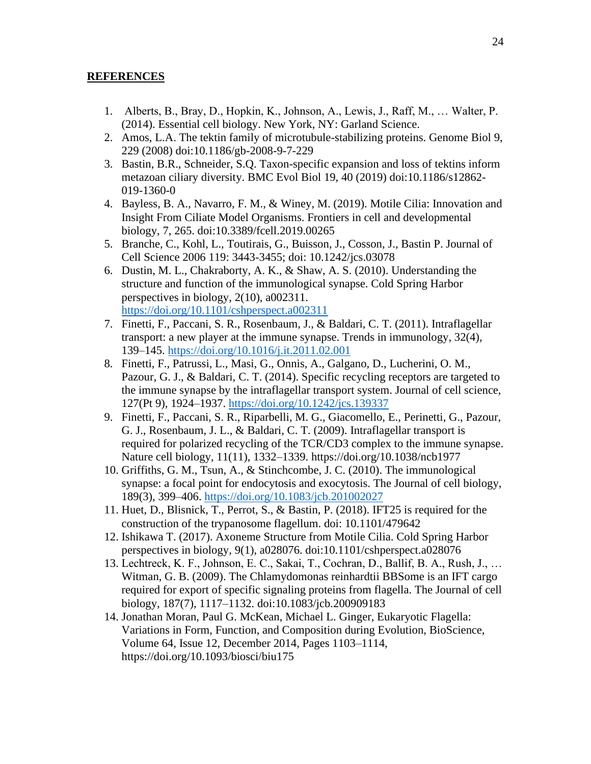# **REFERENCES**

- 1. Alberts, B., Bray, D., Hopkin, K., Johnson, A., Lewis, J., Raff, M., … Walter, P. (2014). Essential cell biology. New York, NY: Garland Science.
- 2. Amos, L.A. The tektin family of microtubule-stabilizing proteins. Genome Biol 9, 229 (2008) doi:10.1186/gb-2008-9-7-229
- 3. Bastin, B.R., Schneider, S.Q. Taxon-specific expansion and loss of tektins inform metazoan ciliary diversity. BMC Evol Biol 19, 40 (2019) doi:10.1186/s12862- 019-1360-0
- 4. Bayless, B. A., Navarro, F. M., & Winey, M. (2019). Motile Cilia: Innovation and Insight From Ciliate Model Organisms. Frontiers in cell and developmental biology, 7, 265. doi:10.3389/fcell.2019.00265
- 5. Branche, C., Kohl, L., Toutirais, G., Buisson, J., Cosson, J., Bastin P. Journal of Cell Science 2006 119: 3443-3455; doi: 10.1242/jcs.03078
- 6. Dustin, M. L., Chakraborty, A. K., & Shaw, A. S. (2010). Understanding the structure and function of the immunological synapse. Cold Spring Harbor perspectives in biology, 2(10), a002311. <https://doi.org/10.1101/cshperspect.a002311>
- 7. Finetti, F., Paccani, S. R., Rosenbaum, J., & Baldari, C. T. (2011). Intraflagellar transport: a new player at the immune synapse. Trends in immunology, 32(4), 139–145.<https://doi.org/10.1016/j.it.2011.02.001>
- 8. Finetti, F., Patrussi, L., Masi, G., Onnis, A., Galgano, D., Lucherini, O. M., Pazour, G. J., & Baldari, C. T. (2014). Specific recycling receptors are targeted to the immune synapse by the intraflagellar transport system. Journal of cell science, 127(Pt 9), 1924–1937.<https://doi.org/10.1242/jcs.139337>
- 9. Finetti, F., Paccani, S. R., Riparbelli, M. G., Giacomello, E., Perinetti, G., Pazour, G. J., Rosenbaum, J. L., & Baldari, C. T. (2009). Intraflagellar transport is required for polarized recycling of the TCR/CD3 complex to the immune synapse. Nature cell biology, 11(11), 1332–1339. https://doi.org/10.1038/ncb1977
- 10. Griffiths, G. M., Tsun, A., & Stinchcombe, J. C. (2010). The immunological synapse: a focal point for endocytosis and exocytosis. The Journal of cell biology, 189(3), 399–406.<https://doi.org/10.1083/jcb.201002027>
- 11. Huet, D., Blisnick, T., Perrot, S., & Bastin, P. (2018). IFT25 is required for the construction of the trypanosome flagellum. doi: 10.1101/479642
- 12. Ishikawa T. (2017). Axoneme Structure from Motile Cilia. Cold Spring Harbor perspectives in biology, 9(1), a028076. doi:10.1101/cshperspect.a028076
- 13. Lechtreck, K. F., Johnson, E. C., Sakai, T., Cochran, D., Ballif, B. A., Rush, J., … Witman, G. B. (2009). The Chlamydomonas reinhardtii BBSome is an IFT cargo required for export of specific signaling proteins from flagella. The Journal of cell biology, 187(7), 1117–1132. doi:10.1083/jcb.200909183
- 14. Jonathan Moran, Paul G. McKean, Michael L. Ginger, Eukaryotic Flagella: Variations in Form, Function, and Composition during Evolution, BioScience, Volume 64, Issue 12, December 2014, Pages 1103–1114, https://doi.org/10.1093/biosci/biu175